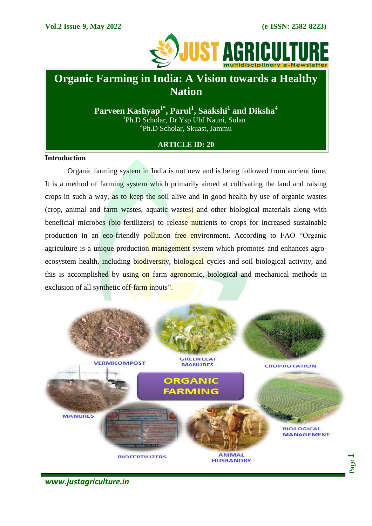

# **Organic Farming in India: A Vision towards a Healthy Nation**

**Parveen Kashyap1\*, Parul<sup>1</sup> , Saakshi<sup>1</sup> and Diksha<sup>4</sup>** <sup>1</sup>Ph.D Scholar, Dr Ysp Uhf Nauni, Solan 4 Ph.D Scholar, Skuast, Jammu

## **ARTICLE ID: 20**

### **Introduction**

Organic farming system in India is not new and is being followed from ancient time. It is a method of farming system which primarily aimed at cultivating the land and raising crops in such a way, as to keep the soil alive and in good health by use of organic wastes (crop, animal and farm wastes, aquatic wastes) and other biological materials along with beneficial microbes (bio-fertilizers) to release nutrients to crops for increased sustainable production in an eco-friendly pollution free environment. According to FAO "Organic agriculture is a unique production management system which promotes and enhances agroecosystem health, including biodiversity, biological cycles and soil biological activity, and this is accomplished by using on farm agronomic, biological and mechanical methods in exclusion of all synthetic off-farm inputs".



*www.justagriculture.in*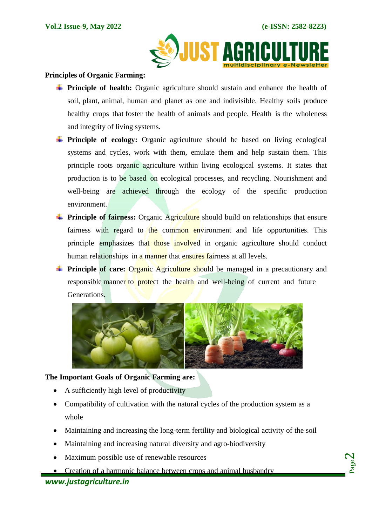Page  $\boldsymbol{\sim}$ 



#### **Principles of Organic Farming:**

- **Principle of health:** Organic agriculture should sustain and enhance the health of soil, plant, animal, human and planet as one and indivisible. Healthy soils produce healthy crops that foster the health of animals and people. Health is the wholeness and integrity of living systems.
- **Principle of ecology:** Organic agriculture should be based on living ecological systems and cycles, work with them, emulate them and help sustain them. This principle roots organic agriculture within living ecological systems. It states that production is to be based on ecological processes, and recycling. Nourishment and well-being are achieved through the ecology of the specific production environment.
- **Principle of fairness:** Organic Agriculture should build on relationships that ensure fairness with regard to the common environment and life opportunities. This principle emphasizes that those involved in organic agriculture should conduct human relationships in a manner that ensures fairness at all levels.
- **Principle of care:** Organic Agriculture should be managed in a precautionary and responsible manner to protect the health and well-being of current and future Generations.



#### **The Important Goals of Organic Farming are:**

- A sufficiently high level of productivity
- Compatibility of cultivation with the natural cycles of the production system as a whole
- Maintaining and increasing the long-term fertility and biological activity of the soil
- Maintaining and increasing natural diversity and agro-biodiversity
- Maximum possible use of renewable resources
- Creation of a harmonic balance between crops and animal husbandry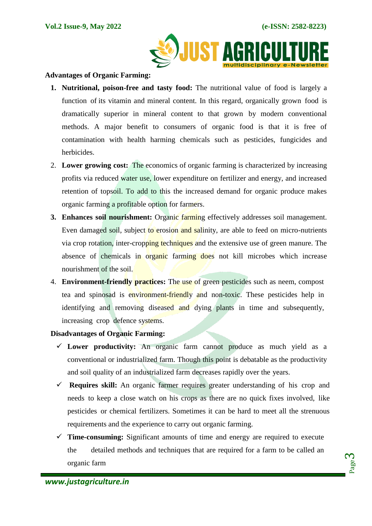

#### **Advantages of Organic Farming:**

- **1. Nutritional, poison-free and tasty food:** The nutritional value of food is largely a function of its vitamin and mineral content. In this regard, organically grown food is dramatically superior in mineral content to that grown by modern conventional methods. A major benefit to consumers of organic food is that it is free of contamination with health harming chemicals such as pesticides, fungicides and herbicides.
- 2. **Lower growing cost:** The economics of organic farming is characterized by increasing profits via reduced water use, lower expenditure on fertilizer and energy, and increased retention of topsoil. To add to this the increased demand for organic produce makes organic farming a profitable option for farmers.
- **3. Enhances soil nourishment:** Organic farming effectively addresses soil management. Even damaged soil, subject to erosion and salinity, are able to feed on micro-nutrients via crop rotation, inter-cropping techniques and the extensive use of green manure. The absence of chemicals in organic farming does not kill microbes which increase nourishment of the soil.
- 4. **Environment-friendly practices:** The use of green pesticides such as neem, compost tea and spinosad is environment-friendly and non-toxic. These pesticides help in identifying and removing diseased and dying plants in time and subsequently, increasing crop defence systems.

#### **Disadvantages of Organic Farming:**

- **Lower productivity:** An organic farm cannot produce as much yield as a conventional or industrialized farm. Though this point is debatable as the productivity and soil quality of an industrialized farm decreases rapidly over the years.
- **Requires skill:** An organic farmer requires greater understanding of his crop and needs to keep a close watch on his crops as there are no quick fixes involved, like pesticides or chemical fertilizers. Sometimes it can be hard to meet all the strenuous requirements and the experience to carry out organic farming.
- $\checkmark$  **Time-consuming:** Significant amounts of time and energy are required to execute the detailed methods and techniques that are required for a farm to be called an organic farm